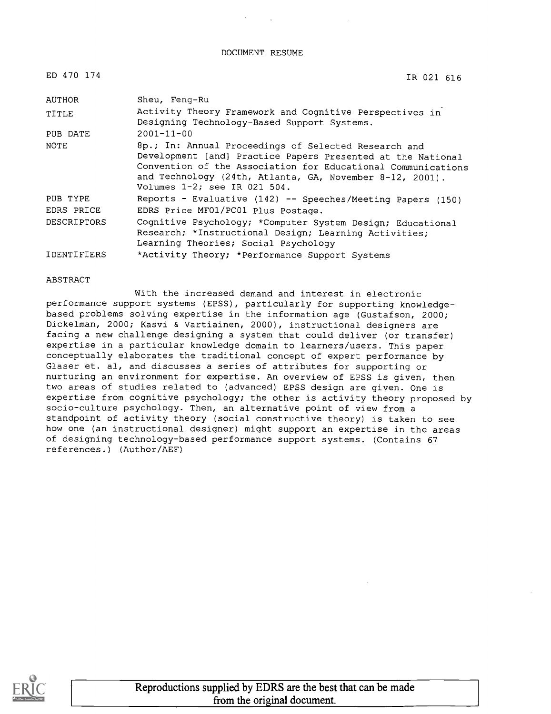#### DOCUMENT RESUME

| ED 470 174             | IR 021 616                                                                                                                                                                                                                                                                         |
|------------------------|------------------------------------------------------------------------------------------------------------------------------------------------------------------------------------------------------------------------------------------------------------------------------------|
| AUTHOR                 | Sheu, Feng-Ru                                                                                                                                                                                                                                                                      |
| TITLE                  | Activity Theory Framework and Cognitive Perspectives in<br>Designing Technology-Based Support Systems.                                                                                                                                                                             |
| PUB DATE               | $2001 - 11 - 00$                                                                                                                                                                                                                                                                   |
| NOTE                   | 8p.; In: Annual Proceedings of Selected Research and<br>Development [and] Practice Papers Presented at the National<br>Convention of the Association for Educational Communications<br>and Technology (24th, Atlanta, GA, November 8-12, 2001).<br>Volumes $1-2$ ; see IR 021 504. |
| PUB TYPE<br>EDRS PRICE | Reports - Evaluative (142) -- Speeches/Meeting Papers (150)<br>EDRS Price MF01/PC01 Plus Postage.                                                                                                                                                                                  |
| <b>DESCRIPTORS</b>     | Cognitive Psychology; *Computer System Design; Educational<br>Research; *Instructional Design; Learning Activities;<br>Learning Theories; Social Psychology                                                                                                                        |
| -----------            |                                                                                                                                                                                                                                                                                    |

IDENTIFIERS \*Activity Theory; \*Performance Support Systems

## ABSTRACT

With the increased demand and interest in electronic performance support systems (EPSS), particularly for supporting knowledgebased problems solving expertise in the information age (Gustafson, 2000; Dickelman, 2000; Kasvi & Vartiainen, 2000), instructional designers are facing a new challenge designing a system that could deliver (or transfer) expertise in a particular knowledge domain to learners/users. This paper conceptually elaborates the traditional concept of expert performance by Glaser et. al, and discusses a series of attributes for supporting or nurturing an environment for expertise. An overview of EPSS is given, then two areas of studies related to (advanced) EPSS design are given. One is expertise from cognitive psychology; the other is activity theory proposed by socio-culture psychology. Then, an alternative point of view from a standpoint of activity theory (social constructive theory) is taken to see how one (an instructional designer) might support an expertise in the areas of designing technology-based performance support systems. (Contains 67 references.) (Author/AEF)

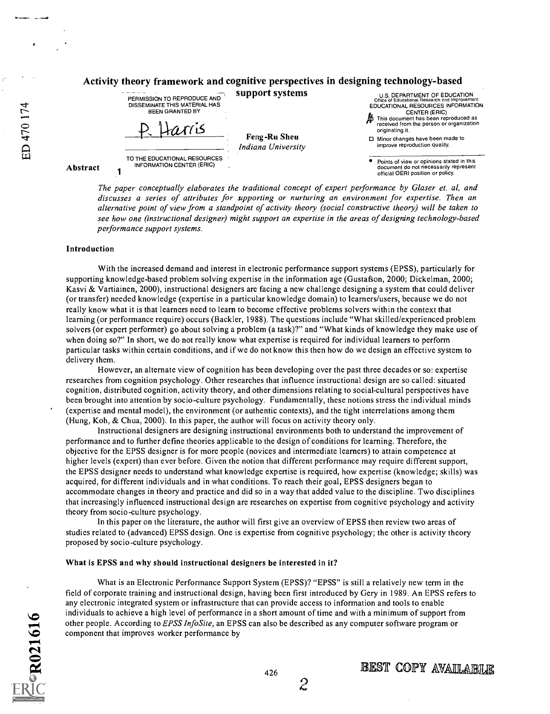# Activity theory framework and cognitive perspectives in designing technology-based



The paper conceptually elaborates the traditional concept of expert performance by Glaser et. al, and discusses a series of attributes for supporting or nurturing an environment for expertise. Then an alternative point of view from a standpoint of activity theory (social constructive theory) will be taken to see how one (instructional designer) might support an expertise in the areas of designing technology-based performance support systems.

#### Introduction

With the increased demand and interest in electronic performance support systems (EPSS), particularly for supporting knowledge-based problem solving expertise in the information age (Gustafson, 2000; Dickelman, 2000; Kasvi & Vartiainen, 2000), instructional designers are facing a new challenge designing a system that could deliver (or transfer) needed knowledge (expertise in a particular knowledge domain) to learners/users, because we do not really know what it is that learners need to learn to become effective problems solvers within the context that learning (or performance require) occurs (Backler, 1988). The questions include "What skilled/experienced problem solvers (or expert performer) go about solving a problem (a task)?" and "What kinds of knowledge they make use of when doing so?" In short, we do not really know what expertise is required for individual learners to perform particular tasks within certain conditions, and if we do not know this then how do we design an effective system to delivery them.

However, an alternate view of cognition has been developing over the past three decades or so: expertise researches from cognition psychology. Other researches that influence instructional design are so called: situated cognition, distributed cognition, activity theory, and other dimensions relating to social-cultural perspectives have been brought into attention by socio-culture psychology. Fundamentally, these notions stress the individual minds (expertise and mental model), the environment (or authentic contexts), and the tight interrelations among them (Hung, Koh, & Chua, 2000). In this paper, the author will focus on activity theory only.

Instructional designers are designing instructional environments both to understand the improvement of performance and to further define theories applicable to the design of conditions for learning. Therefore, the objective for the EPSS designer is for more people (novices and intermediate learners) to attain competence at higher levels (expert) than ever before. Given the notion that different performance may require different support, the EPSS designer needs to understand what knowledge expertise is required, how expertise (knowledge; skills) was acquired, for different individuals and in what conditions. To reach their goal, EPSS designers began to accommodate changes in theory and practice and did so in a way that added value to the discipline. Two disciplines that increasingly influenced instructional design are researches on expertise from cognitive psychology and activity theory from socio-culture psychology.

In this paper on the literature, the author will first give an overview of EPSS then review two areas of studies related to (advanced) EPSS design. One is expertise from cognitive psychology; the other is activity theory proposed by socio -culture psychology.

### What is EPSS and why should instructional designers be interested in it?

What is an Electronic Performance Support System (EPSS)? "EPSS" is still a relatively new term in the field of corporate training and instructional design, having been first introduced by Gery in 1989. An EPSS refers to any electronic integrated system or infrastructure that can provide access to information and tools to enable individuals to achieve a high level of performance in a short amount of time and with a minimum of support from other people. According to *EPSS InfoSite*, an EPSS can also be described as any computer software program or component that improves worker performance by

2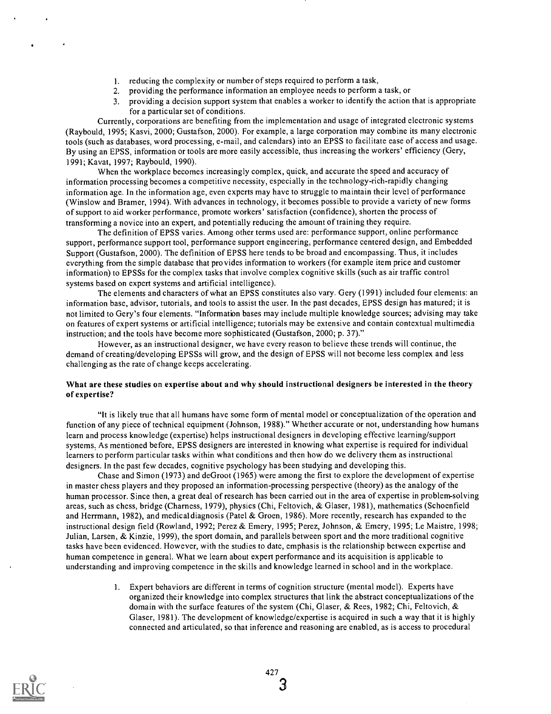- 1. reducing the complexity or number of steps required to perform a task,
- 2. providing the performance information an employee needs to perform a task, or
- 3. providing a decision support system that enables a worker to identify the action that is appropriate for a particular set of conditions.

Currently, corporations are benefiting from the implementation and usage of integrated electronic systems (Raybould, 1995; Kasvi, 2000; Gustafson, 2000). For example, a large corporation may combine its many electronic tools (such as databases, word processing, e-mail, and calendars) into an EPSS to facilitate ease of access and usage. By using an EPSS, information or tools are more easily accessible, thus increasing the workers' efficiency (Gery, 1991; Kavat, 1997; Raybould, 1990).

When the workplace becomes increasingly complex, quick, and accurate the speed and accuracy of information processing becomes a competitive necessity, especially in the technology-rich-rapidly changing information age. In the information age, even experts may have to struggle to maintain their level of performance (Winslow and Bramer, 1994). With advances in technology, it becomes possible to provide a variety of new forms of support to aid worker performance, promote workers' satisfaction (confidence), shorten the process of transforming a novice into an expert, and potentially reducing the amount of training they require.

The definition of EPSS varies. Among other terms used are: performance support, online performance support, performance support tool, performance support engineering, performance centered design, and Embedded Support (Gustafson, 2000). The definition of EPSS here tends to be broad and encompassing. Thus, it includes everything from the simple database that provides information to workers (for example item price and customer information) to EPSSs for the complex tasks that involve complex cognitive skills (such as air traffic control systems based on expert systems and artificial intelligence).

The elements and characters of what an EPSS constitutes also vary. Gery (1991) included four elements: an information base, advisor, tutorials, and tools to assist the user. In the past decades, EPSS design has matured; it is not limited to Gery's four elements. "Information bases may include multiple knowledge sources; advising may take on features of expert systems or artificial intelligence; tutorials may be extensive and contain contextual multimedia instruction; and the tools have become more sophisticated (Gustafson, 2000; p. 37)."

However, as an instructional designer, we have every reason to believe these trends will continue, the demand of creating/developing EPSSs will grow, and the design of EPSS will not become less complex and less challenging as the rate of change keeps accelerating.

# What are these studies on expertise about and why should instructional designers be interested in the theory of expertise?

"It is likely true that all humans have some form of mental model or conceptualization of the operation and function of any piece of technical equipment (Johnson, 1988)." Whether accurate or not, understanding how humans learn and process knowledge (expertise) helps instructional designers in developing effective learning/support systems. As mentioned before, EPSS designers are interested in knowing what expertise is required for individual learners to perform particular tasks within what conditions and then how do we delivery them as instructional designers. In the past few decades, cognitive psychology has been studying and developing this.

Chase and Simon (1973) and deGroot (1965) were among the first to explore the development of expertise in master chess players and they proposed an information-processing perspective (theory) as the analogy of the human processor. Since then, a great deal of research has been carried out in the area of expertise in problem-solving areas, such as chess, bridge (Charness, 1979), physics (Chi, Feltovich, & Glaser, 1981), mathematics (Schoenfield and Herrmann, 1982), and medical diagnosis (Patel & Groen, 1986). More recently, research has expanded to the instructional design field (Rowland, 1992; Perez & Emery, 1995; Perez, Johnson, & Emery, 1995; Le Maistre, 1998; Julian, Larsen, & Kinzie, 1999), the sport domain, and parallels between sport and the more traditional cognitive tasks have been evidenced. However, with the studies to date, emphasis is the relationship between expertise and human competence in general. What we learn about expert performance and its acquisition is applicable to understanding and improving competence in the skills and knowledge learned in school and in the workplace.

> 1. Expert behaviors are different in terms of cognition structure (mental model). Experts have organized their knowledge into complex structures that link the abstract conceptualizations of the domain with the surface features of the system (Chi, Glaser, & Rees, 1982; Chi, Feltovich, & Glaser, 1981). The development of knowledge/expertise is acquired in such a way that it is highly connected and articulated, so that inference and reasoning are enabled, as is access to procedural

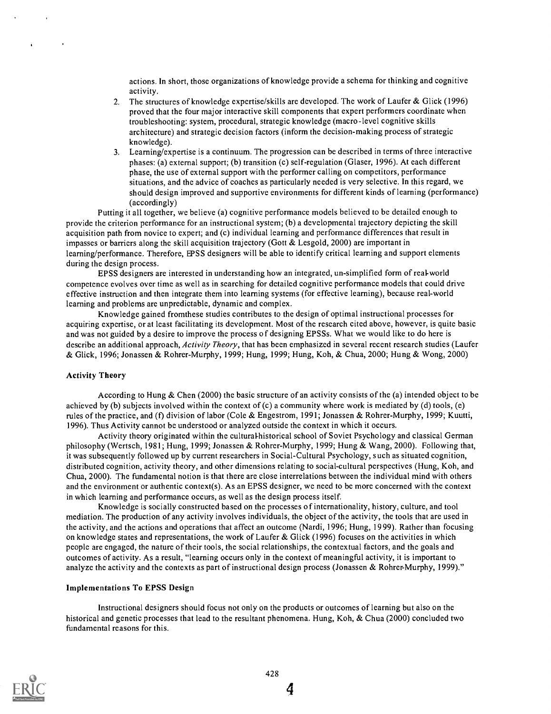actions. In short, those organizations of knowledge provide a schema for thinking and cognitive activity.

- 2. The structures of knowledge expertise/skills are developed. The work of Laufer & Glick (1996) proved that the four major interactive skill components that expert performers coordinate when troubleshooting: system, procedural, strategic knowledge (macro-level cognitive skills architecture) and strategic decision factors (inform the decision-making process of strategic knowledge).
- 3. Learning/expertise is a continuum. The progression can be described in terms of three interactive phases: (a) external support; (b) transition (c) self-regulation (Glaser, 1996). At each different phase, the use of external support with the performer calling on competitors, performance situations, and the advice of coaches as particularly needed is very selective. In this regard, we should design improved and supportive environments for different kinds of learning (performance) (accordingly)

Putting it all together, we believe (a) cognitive performance models believed to be detailed enough to provide the criterion performance for an instructional system; (b) a developmental trajectory depicting the skill acquisition path from novice to expert; and (c) individual learning and performance differences that result in impasses or barriers along the skill acquisition trajectory (Gott & Lesgold, 2000) are important in leaming/performance. Therefore, EPSS designers will be able to identify critical learning and support elements during the design process.

EPSS designers are interested in understanding how an integrated, un-simplified form of real-world competence evolves over time as well as in searching for detailed cognitive performance models that could drive effective instruction and then integrate them into learning systems (for effective learning), because real-world learning and problems are unpredictable, dynamic and complex.

Knowledge gained fromthese studies contributes to the design of optimal instructional processes for acquiring expertise, or at least facilitating its development. Most of the research cited above, however, is quite basic and was not guided by a desire to improve the process of designing EPSSs. What we would like to do here is describe an additional approach, Activity Theory, that has been emphasized in several recent research studies (Laufer & Glick, 1996; Jonassen & Rohrer-Murphy, 1999; Hung, 1999; Hung, Koh, & Chua, 2000; Hung & Wong, 2000)

## Activity Theory

According to Hung & Chen (2000) the basic structure of an activity consists of the (a) intended object to be achieved by (b) subjects involved within the context of  $(c)$  a community where work is mediated by (d) tools,  $(e)$ rules of the practice, and (f) division of labor (Cole & Engestrom, 1991; Jonassen & Rohrer-Murphy, 1999; Kuutti, 1996). Thus Activity cannot be understood or analyzed outside the context in which it occurs.

Activity theory originated within the cultural-historical school of Soviet Psychology and classical German philosophy (Wertsch, 1981; Hung, 1999; Jonassen & Rohrer-Murphy, 1999; Hung & Wang, 2000). Following that, it was subsequently followed up by current researchers in Social-Cultural Psychology, such as situated cognition, distributed cognition, activity theory, and other dimensions relating to social-cultural perspectives (Hung, Koh, and Chua, 2000). The fundamental notion is that there are close interrelations between the individual mind with others and the environment or authentic context(s). As an EPSS designer, we need to be more concerned with the context in which learning and performance occurs, as well as the design process itself.

Knowledge is socially constructed based on the processes of internationality, history, culture, and tool mediation. The production of any activity involves individuals, the object of the activity, the tools that are used in the activity, and the actions and operations that affect an outcome (Nardi, 1996; Hung, 1999). Rather than focusing on knowledge states and representations, the work of Laufer & Glick (1996) focuses on the activities in which people are engaged, the nature of their tools, the social relationships, the contextual factors, and the goals and outcomes of activity. As a result, "learning occurs only in the context of meaningful activity, it is important to analyze the activity and the contexts as part of instructional design process (Jonassen & Rohrer-Murphy, 1999)."

#### Implementations To EPSS Design

Instructional designers should focus not only on the products or outcomes of learning but also on the historical and genetic processes that lead to the resultant phenomena. Hung, Koh, & Chua (2000) concluded two fundamental reasons for this.

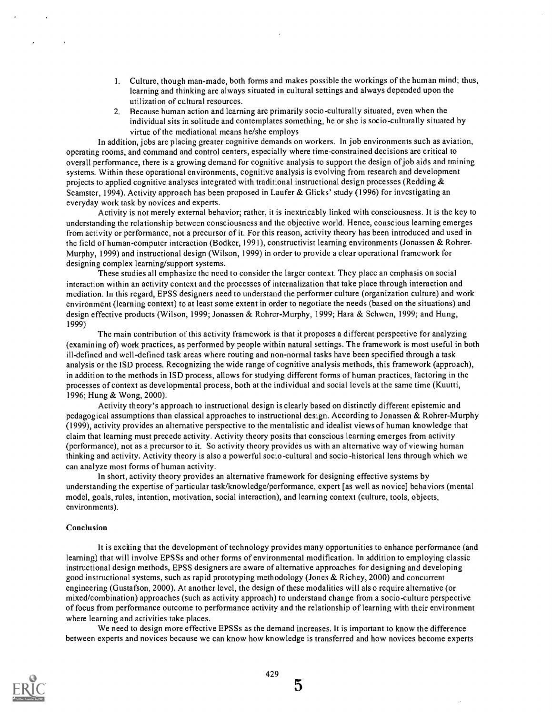- 1. Culture, though man-made, both forms and makes possible the workings of the human mind; thus, learning and thinking are always situated in cultural settings and always depended upon the utilization of cultural resources.
- 2. Because human action and learning are primarily socio-culturally situated, even when the individual sits in solitude and contemplates something, he or she is socio-culturally situated by virtue of the mediational means he/she employs

In addition, jobs are placing greater cognitive demands on workers. In job environments such as aviation, operating rooms, and command and control centers, especially where time-constrained decisions are critical to overall performance, there is a growing demand for cognitive analysis to support the design of job aids and training systems. Within these operational environments, cognitive analysis is evolving from research and development projects to applied cognitive analyses integrated with traditional instructional design processes (Redding  $\&$ Seamster, 1994). Activity approach has been proposed in Laufer & Glicks' study (1996) for investigating an everyday work task by novices and experts.

Activity is not merely external behavior; rather, it is inextricably linked with consciousness. It is the key to understanding the relationship between consciousness and the objective world. Hence, conscious learning emerges from activity or performance, not a precursor of it. For this reason, activity theory has been introduced and used in the field of human-computer interaction (Bodker, 1991), constructivist learning environments (Jonassen & Rohrer-Murphy, 1999) and instructional design (Wilson, 1999) in order to provide a clear operational framework for designing complex learning/support systems.

These studies all emphasize the need to consider the larger context. They place an emphasis on social interaction within an activity context and the processes of internalization that take place through interaction and mediation. In this regard, EPSS designers need to understand the performer culture (organization culture) and work environment (learning context) to at least some extent in order to negotiate the needs (based on the situations) and design effective products (Wilson, 1999; Jonassen & Rohrer-Murphy, 1999; Hara & Schwen, 1999; and Hung, 1999)

The main contribution of this activity framework is that it proposes a different perspective for analyzing (examining of) work practices, as performed by people within natural settings. The framework is most useful in both ill-defined and well-defined task areas where routing and non-normal tasks have been specified through a task analysis or the ISD process. Recognizing the wide range of cognitive analysis methods, this framework (approach), in addition to the methods in ISD process, allows for studying different forms of human practices, factoring in the processes of context as developmental process, both at the individual and social levels at the same time (Kuutti, 1996; Hung & Wong, 2000).

Activity theory's approach to instructional design is clearly based on distinctly different epistemic and pedagogical assumptions than classical approaches to instructional design. According to Jonassen & Rohrer-Murphy (1999), activity provides an alternative perspective to the mentalistic and idealist views of human knowledge that claim that learning must precede activity. Activity theory posits that conscious learning emerges from activity (performance), not as a precursor to it. So activity theory provides us with an alternative way of viewing human thinking and activity. Activity theory is also a powerful socio -cultural and socio -historical lens through which we can analyze most forms of human activity.

In short, activity theory provides an alternative framework for designing effective systems by understanding the expertise of particular task/knowledge/performance, expert [as well as novice] behaviors (mental model, goals, rules, intention, motivation, social interaction), and learning context (culture, tools, objects, environments).

#### Conclusion

It is exciting that the development of technology provides many opportunities to enhance performance (and learning) that will involve EPSSs and other forms of environmental modification. In addition to employing classic instructional design methods, EPSS designers are aware of alternative approaches for designing and developing good instructional systems, such as rapid prototyping methodology (Jones & Richey, 2000) and concurrent engineering (Gustafson, 2000). At another level, the design of these modalities will also require alternative (or mixed/combination) approaches (such as activity approach) to understand change from a socio -culture perspective of focus from performance outcome to performance activity and the relationship of learning with their environment where learning and activities take places.

We need to design more effective EPSSs as the demand increases. It is important to know the difference between experts and novices because we can know how knowledge is transferred and how novices become experts



 $\overline{5}$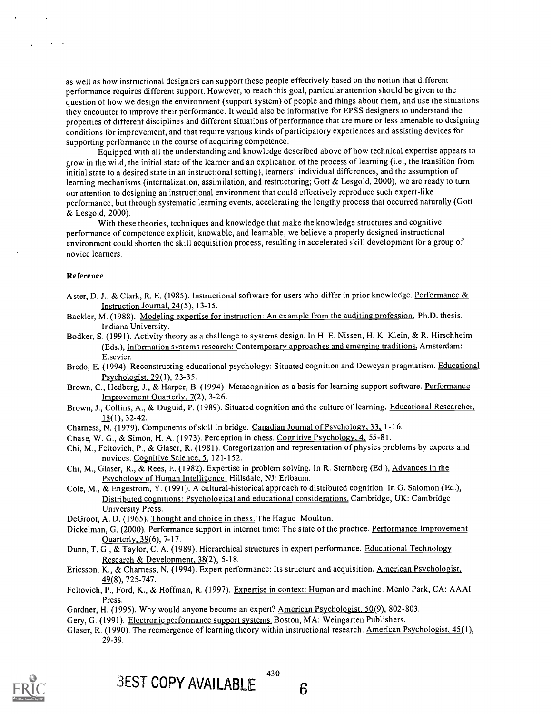as well as how instructional designers can support these people effectively based on the notion that different performance requires different support. However, to reach this goal, particular attention should be given to the question of how we design the environment (support system) of people and things about them, and use the situations they encounter to improve their performance. It would also be informative for EPSS designers to understand the properties of different disciplines and different situations of performance that are more or less amenable to designing conditions for improvement, and that require various kinds of participatory experiences and assisting devices for supporting performance in the course of acquiring competence.

Equipped with all the understanding and knowledge described above of how technical expertise appears to grow in the wild, the initial state of the learner and an explication of the process of learning (i.e., the transition from initial state to a desired state in an instructional setting), learners' individual differences, and the assumption of learning mechanisms (internalization, assimilation, and restructuring; Gott & Lesgold, 2000), we are ready to turn our attention to designing an instructional environment that could effectively reproduce such expert-like performance, but through systematic learning events, accelerating the lengthy process that occurred naturally (Gott & Lesgold, 2000).

With these theories, techniques and knowledge that make the knowledge structures and cognitive performance of competence explicit, knowable, and learnable, we believe a properly designed instructional environment could shorten the skill acquisition process, resulting in accelerated skill development for a group of novice learners.

#### Reference

- Aster, D. J., & Clark, R. E. (1985). Instructional software for users who differ in prior knowledge. Performance & Instruction Journal, 24(5), 13-15.
- Backler, M. (1988). Modeling expertise for instruction: An example from the auditing profession. Ph.D. thesis, Indiana University.
- Bodker, S. (1991). Activity theory as a challenge to systems design. In H. E. Nissen, H. K. Klein, & R. Hirschheim (Eds.), Information systems research: Contemporary approaches and emerging traditions. Amsterdam: Elsevier.
- Bredo, E. (1994). Reconstructing educational psychology: Situated cognition and Deweyan pragmatism. Educational Psychologist, 29(1), 23-35.
- Brown, C., Hedberg, J., & Harper, B. (1994). Metacognition as a basis for learning support software. Performance Improvement Quarterly, 7(2), 3-26.
- Brown, J., Collins, A., & Duguid, P. (1989). Situated cognition and the culture of learning. Educational Researcher, 18(1), 32-42.
- Charness, N. (1979). Components of skill in bridge. Canadian Journal of Psychology, 33. 1-16.
- Chase, W. G., & Simon, H. A. (1973). Perception in chess. Cognitive Psychology, 4, 55-81.
- Chi, M., Feltovich, P., & Glaser, R. (1981). Categorization and representation of physics problems by experts and novices. Cognitive Science, 5, 121-152.
- Chi, M., Glaser, R., & Rees, E. (1982). Expertise in problem solving. In R. Sternberg (Ed.), Advances in the Psychology of Human Intelligence. Hillsdale, NJ: Erlbaum.
- Cole, M., & Engestrom, Y. (1991). A cultural-historical approach to distributed cognition. In G. Salomon (Ed.), Distributed cognitions: Psychological and educational considerations. Cambridge, UK: Cambridge University Press.
- DeGroot, A. D. (1965). Thought and choice in chess. The Hague: Moulton.
- Dickelman, G. (2000). Performance support in internet time: The state of the practice. Performance Improvement Quarterly. 39(6), 7-17.
- Dunn, T. G., & Taylor, C. A. (1989). Hierarchical structures in expert performance. Educational Technology Research & Development. 38(2), 5-18.
- Ericsson, K., & Charness, N. (1994). Expert performance: Its structure and acquisition. American Psychologist, 49(8), 725-747.
- Feltovich, P., Ford, K., & Hoffman, R. (1997). Expertise in context: Human and machine. Menlo Park, CA: AAA' Press.
- Gardner, H. (1995). Why would anyone become an expert? American Psychologist, 50(9), 802-803.
- Gery, G. (1991). Electronic performance support systems. Boston, MA: Weingarten Publishers.
- Glaser, R. (1990). The reemergence of learning theory within instructional research. American Psychologist, 45(1), 29-39.



6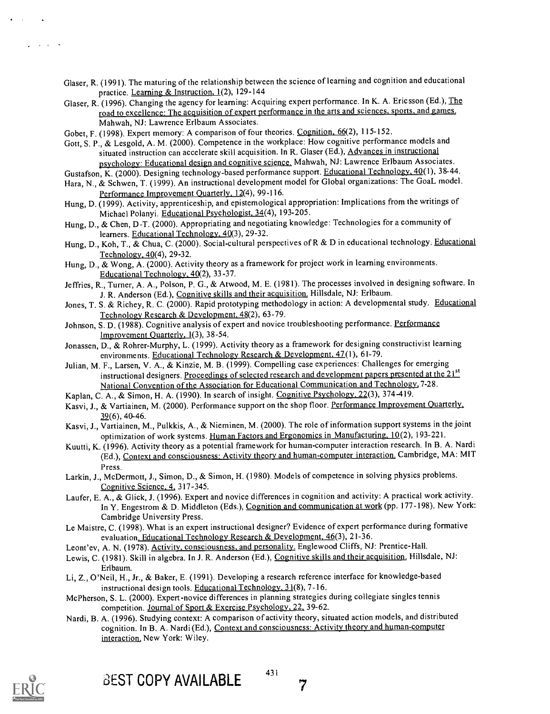- Glaser, R. (1991). The maturing of the relationship between the science of learning and cognition and educational practice. Learning & Instruction. 1(2), 129-144
- Glaser, R. (1996). Changing the agency for learning: Acquiring expert performance. In K. A. Ericsson (Ed.), The road to excellence: The acquisition of expert performance in the arts and sciences, sports. and games. Mahwah, NJ: Lawrence Erlbaum Associates.

Gobet, F. (1998). Expert memory: A comparison of four theories. Cognition, 66(2), 115-152.

Gott, S. P., & Lesgold, A. M. (2000). Competence in the workplace: How cognitive performance models and situated instruction can accelerate skill acquisition. In R. Glaser (Ed.), Advances in instructional psychology: Educational design and cognitive science. Mahwah, NJ: Lawrence Erlbaum Associates.

Gustafson, K. (2000). Designing technology-based performance support. Educational Technology. 40(1), 38-44.

- Hara, N., & Schwen, T. (1999). An instructional development model for Global organizations: The GoaL model. Performance Improvement Ouarterly, 12(4), 99-116.
- Hung, D. (1999). Activity, apprenticeship, and epistemological appropriation: Implications from the writings of Michael Polanyi. Educational Psychologist. 34(4), 193-205.
- Hung, D., & Chen, D-T. (2000). Appropriating and negotiating knowledge: Technologies for a community of learners. Educational Technology. 40(3), 29-32.
- Hung, D., Koh, T., & Chua, C. (2000). Social-cultural perspectives of R & D in educational technology. Educational Technology. 40(4), 29-32.
- Hung, D., & Wong, A. (2000). Activity theory as a framework for project work in learning environments. Educational Technology. 40(2), 33-37.
- Jeffries, R., Turner, A. A., Poison, P. G., & Atwood, M. E. (1981). The processes involved in designing software. In J. R. Anderson (Ed.), Cognitive skills and their acquisition. Hillsdale, NJ: Erlbaum.
- Jones, T. S. & Richey, R. C. (2000). Rapid prototyping methodology in action: A developmental study. Educational Technology Research & Development. 48(2), 63-79.
- Johnson, S. D. (1988). Cognitive analysis of expert and novice troubleshooting performance. Performance Improvement Quarterly, 1(3), 38-54.
- Jonassen, D., & Rohrer-Murphy, L. (1999). Activity theory as a framework for designing constructivist learning environments. Educational Technology Research & Development, 47(1), 61-79.
- Julian, M. F., Larsen, V. A., & Kinzie, M. B. (1999). Compelling case experiences: Challenges for emerging instructional designers. Proceedings of selected research and development papers presented at the 21<sup>st</sup> National Convention of the Association for Educational Communication and Technology. 7-28.
- Kaplan, C. A., & Simon, H. A. (1990). In search of insight. Cognitive Psychology. 22(3), 374-419.
- Kasvi, J., & Vartiainen, M. (2000). Performance support on the shop floor. Performance Improvement Ouarterly,  $39(6)$ , 40-46.
- Kasvi, J., Vartiainen, M., Pulkkis, A., & Nieminen, M. (2000). The role of information support systems in the joint optimization of work systems. Human Factors and Ergonomics in Manufacturing, 10(2), 193-221.
- Kuutti, K. (1996). Activity theory as a potential framework for human-computer interaction research. In B. A. Nardi (Ed.), Context and consciousness: Activity theory and human-computer interaction. Cambridge, MA: MIT Press.
- Larkin, J., McDermott, J., Simon, D., & Simon, H. (1980). Models of competence in solving physics problems. Cognitive Science, 4, 317-345.
- Laufer, E. A., & Glick, J. (1996). Expert and novice differences in cognition and activity: A practical work activity. In Y. Engestrom & D. Middleton (Eds.), Cognition and communication at work (pp. 177-198). New York: Cambridge University Press.
- Le Maistre, C. (1998). What is an expert instructional designer? Evidence of expert performance during formative evaluation. Educational Technology Research & Development, 46(3), 21-36.
- Leont'ev, A. N. (1978). Activity, consciousness, and personality. Englewood Cliffs, NJ: Prentice-Hall.
- Lewis, C. (1981). Skill in algebra. In J. R. Anderson (Ed.), Cognitive skills and their acquisition. Hillsdale, NJ: Erlbaum.
- Li, Z., O'Neil, H., Jr., & Baker, E. (1991). Developing a research reference interface for knowledge-based instructional design tools. Educational Technology, 31(8), 7-16.
- McPherson, S. L. (2000). Expert- novice differences in planning strategies during collegiate singles tennis competition. Journal of Sport & Exercise Psychology, 22, 39-62.
- Nardi, B. A. (1996). Studying context: A comparison of activity theory, situated action models, and distributed cognition. In B. A. Nardi (Ed.), Context and consciousness: Activity theory and human-computer interaction. New York: Wiley.

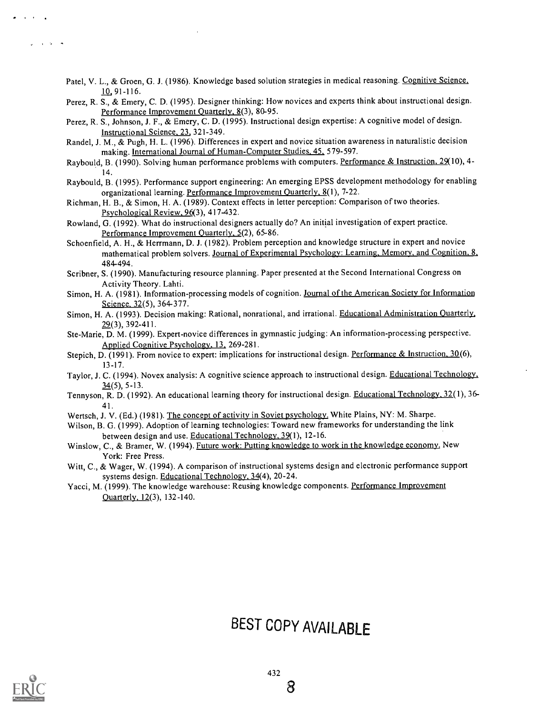- Patel, V. L., & Groen, G. J. (1986). Knowledge based solution strategies in medical reasoning. Cognitive Science, 10 91-116.
- Perez, R. S., & Emery, C. D. (1995). Designer thinking: How novices and experts think about instructional design. Performance Improvement Quarterly, 8(3), 80-95.
- Perez, R. S., Johnson, J. F., & Emery, C. D. (1995). Instructional design expertise: A cognitive model of design. Instructional Science, 23, 321-349.
- Randel, J. M., & Pugh, H. L. (1996). Differences in expert and novice situation awareness in naturalistic decision making. International Journal of Human-Computer Studies, 45. 579-597.
- Raybould, B. (1990). Solving human performance problems with computers. Performance & Instruction, 29(10), 4-14.
- Raybould, B. (1995). Performance support engineering: An emerging EPSS development methodology for enabling organizational learning. Performance Improvement Quarterly, 8(1), 7-22.
- Richman, H. B., & Simon, H. A. (1989). Context effects in letter perception: Comparison of two theories. Psychological Review, 96(3), 417-432.
- Rowland, G. (1992). What do instructional designers actually do? An initial investigation of expert practice. Performance Improvement Quarterly, 5(2), 65-86.
- Schoenfield, A. H., & Herrmann, D. J. (1982). Problem perception and knowledge structure in expert and novice mathematical problem solvers. Journal of Experimental Psychology: Learning. Memory, and Cognition, 8, 484-494.
- Scribner, S. (1990). Manufacturing resource planning. Paper presented at the Second International Congress on Activity Theory. Lahti.
- Simon, H. A. (1981). Information-processing models of cognition. Journal of the American Society for Information Science, 32(5), 364-377.
- Simon, H. A. (1993). Decision making: Rational, nonrational, and irrational. Educational Administration Quarterly, 29(3), 392-411.
- Ste-Marie, D. M. (1999). Expert-novice differences in gymnastic judging: An information-processing perspective. Applied Cognitive Psychology, 13, 269-281.
- Stepich, D. (1991). From novice to expert: implications for instructional design. Performance & Instruction. 30(6), 13-17.
- Taylor, J. C. (1994). Novex analysis: A cognitive science approach to instructional design. Educational Technology, 34(5), 5-13.
- Tennyson, R. D. (1992). An educational learning theory for instructional design. Educational Technology, 32(1), 36-41
- Wertsch, J. V. (Ed.) (1981). The concept of activity in Soviet psychology. White Plains, NY: M. Sharpe.
- Wilson, B. G. (1999). Adoption of learning technologies: Toward new frameworks for understanding the link between design and use. Educational Technology, 39(1), 12-16.
- Winslow, C., & Bramer, W. (1994). Future work: Putting knowledge to work in the knowledge economy. New York: Free Press.
- Witt, C., & Wager, W. (1994). A comparison of instructional systems design and electronic performance support systems design. Educational Technology. 34(4), 20-24.
- Yacci, M. (1999). The knowledge warehouse: Reusing knowledge components. Performance Improvement Ouarterly, 12(3), 132-140.

# BEST COPY AVAILABLE



**Contract** 

 $\sim$  100  $\sim$